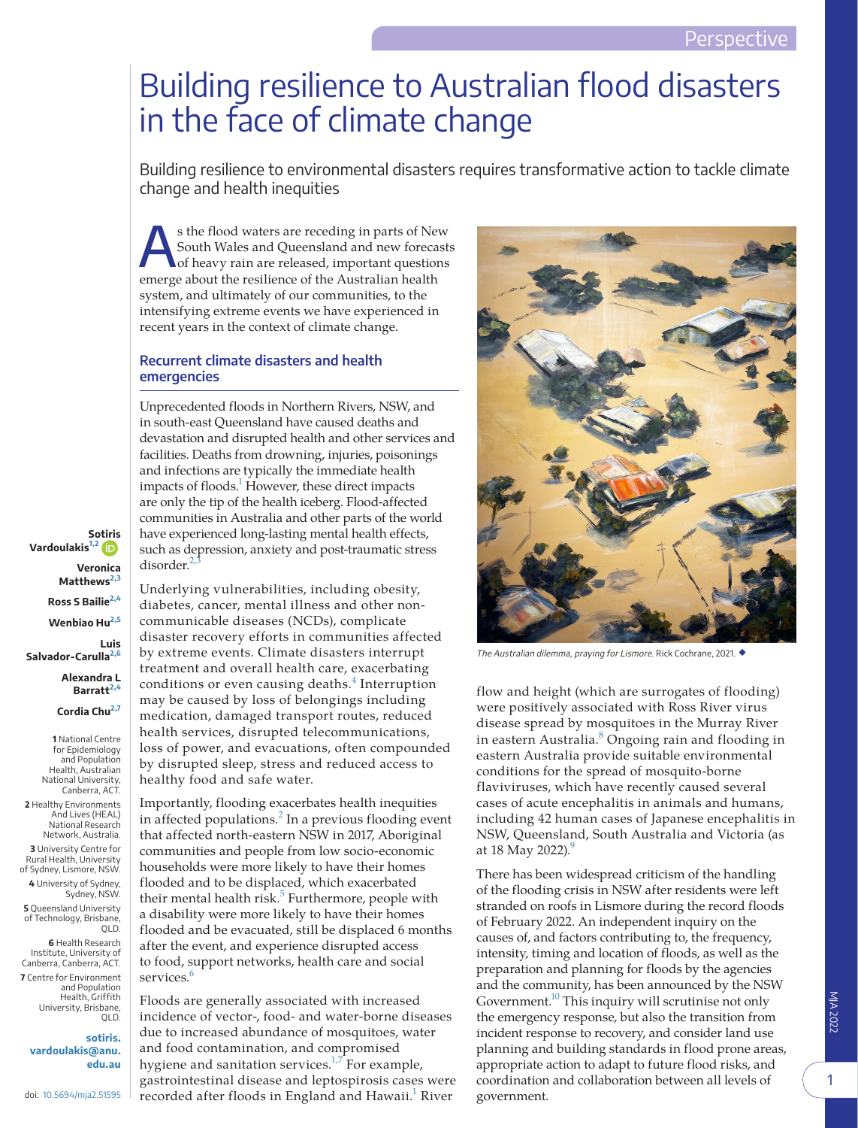## Building resilience to Australian flood disasters in the face of climate change

Building resilience to environmental disasters requires transformative action to tackle climate change and health inequities

s the flood waters are receding in parts of New<br>South Wales and Queensland and new forecasts<br>of heavy rain are released, important questions South Wales and Queensland and new forecasts of heavy rain are released, important questions emerge about the resilience of the Australian health system, and ultimately of our communities, to the intensifying extreme events we have experienced in recent years in the context of climate change.

## **Recurrent climate disasters and health emergencies**

Unprecedented floods in Northern Rivers, NSW, and in south-east Queensland have caused deaths and devastation and disrupted health and other services and facilities. Deaths from drowning, injuries, poisonings and infections are typically the immediate health impacts of floods.<sup>1</sup> However, these direct impacts are only the tip of the health iceberg. Flood-affected communities in Australia and other parts of the world have experienced long-lasting mental health effects, such as depression, anxiety and post-traumatic stress disorder.<sup>2</sup>

**S[otiris](https://orcid.org/0000-0003-3944-7128)  Vardoulakis[1,2](#page-0-0) Veronica Matthews**<sup>2</sup> **Ross S Bailie[2,4](#page-0-1) Wenbiao Hu[2,5](#page-0-1) Luis Salvador-Carulla[2,6](#page-0-1) Alexandra L** 

**Barratt[2,4](#page-0-1)**

<span id="page-0-0"></span>**Cordia Chu[2,7](#page-0-1)**

**1** National Centre for Epidemiology and Population Health, Australian National University, Canberra, ACT.

<span id="page-0-1"></span>**2** Healthy Environments And Lives (HEAL) National Research Network, Australia. **3** University Centre for Rural Health, University of Sydney, Lismore, NSW. **4** University of Sydney, Sydney, NSW. **5** Queensland University of Technology, Brisbane, QLD.

**6** Health Research Institute, University of Canberra, Canberra, ACT. **7** Centre for Environment

and Population Health, Griffith University, Brisbane, QLD.

**[sotiris.](mailto:sotiris.vardoulakis@anu.edu.au) [vardoulakis@anu.](mailto:sotiris.vardoulakis@anu.edu.au) [edu.au](mailto:sotiris.vardoulakis@anu.edu.au)**

doi: [10.5694/mja2.51595](https://doi.org/10.5694/mja2.51595)

Underlying vulnerabilities, including obesity, diabetes, cancer, mental illness and other noncommunicable diseases (NCDs), complicate disaster recovery efforts in communities affected by extreme events. Climate disasters interrupt treatment and overall health care, exacerbating conditions or even causing deaths.<sup>[4](#page-3-0)</sup> Interruption may be caused by loss of belongings including medication, damaged transport routes, reduced health services, disrupted telecommunications, loss of power, and evacuations, often compounded by disrupted sleep, stress and reduced access to healthy food and safe water.

Importantly, flooding exacerbates health inequities in affected populations.<sup>[2](#page-2-1)</sup> In a previous flooding event that affected north-eastern NSW in 2017, Aboriginal communities and people from low socio-economic households were more likely to have their homes flooded and to be displaced, which exacerbated their mental health risk.<sup>[5](#page-3-1)</sup> Furthermore, people with a disability were more likely to have their homes flooded and be evacuated, still be displaced 6 months after the event, and experience disrupted access to food, support networks, health care and social services.<sup>[6](#page-3-2)</sup>

Floods are generally associated with increased incidence of vector-, food- and water-borne diseases due to increased abundance of mosquitoes, water and food contamination, and compromised hygiene and sanitation services. $1.7$  For example, gastrointestinal disease and leptospirosis cases were recorded after floods in England and Hawaii.<sup>1</sup> River



The Australian dilemma, praying for Lismore. Rick Cochrane, 2021. ◆

flow and height (which are surrogates of flooding) were positively associated with Ross River virus disease spread by mosquitoes in the Murray River in eastern Australia.<sup>[8](#page-3-3)</sup> Ongoing rain and flooding in eastern Australia provide suitable environmental conditions for the spread of mosquito-borne flaviviruses, which have recently caused several cases of acute encephalitis in animals and humans, including 42 human cases of Japanese encephalitis in NSW, Queensland, South Australia and Victoria (as at 18 May 2022).<sup>9</sup>

There has been widespread criticism of the handling of the flooding crisis in NSW after residents were left stranded on roofs in Lismore during the record floods of February 2022. An independent inquiry on the causes of, and factors contributing to, the frequency, intensity, timing and location of floods, as well as the preparation and planning for floods by the agencies and the community, has been announced by the NSW Government.<sup>10</sup> This inquiry will scrutinise not only the emergency response, but also the transition from incident response to recovery, and consider land use planning and building standards in flood prone areas, appropriate action to adapt to future flood risks, and coordination and collaboration between all levels of government.

1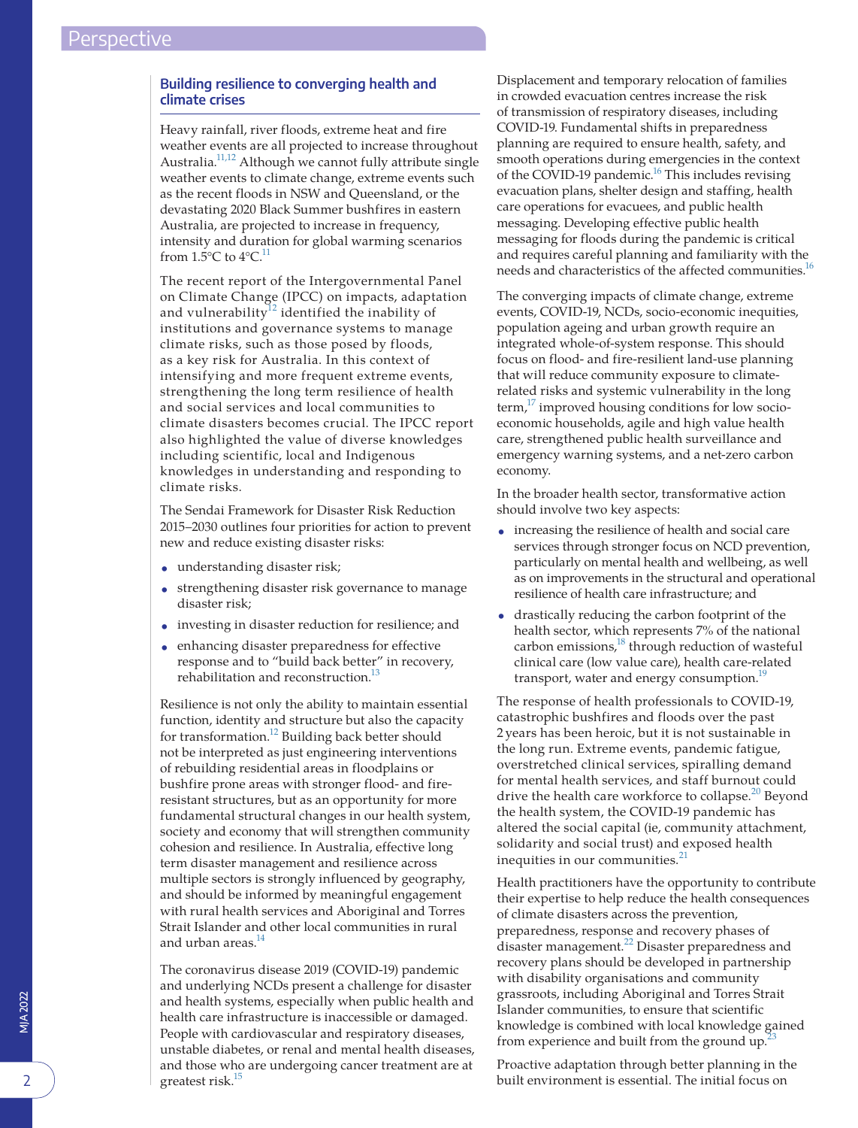## **Building resilience to converging health and climate crises**

Heavy rainfall, river floods, extreme heat and fire weather events are all projected to increase throughout Australia[.11,12](#page-3-6) Although we cannot fully attribute single weather events to climate change, extreme events such as the recent floods in NSW and Queensland, or the devastating 2020 Black Summer bushfires in eastern Australia, are projected to increase in frequency, intensity and duration for global warming scenarios from 1.5 $\mathrm{°C}$  to 4 $\mathrm{°C}$ .<sup>11</sup>

The recent report of the Intergovernmental Panel on Climate Change (IPCC) on impacts, adaptation and vulnerability $12$  identified the inability of institutions and governance systems to manage climate risks, such as those posed by floods, as a key risk for Australia. In this context of intensifying and more frequent extreme events, strengthening the long term resilience of health and social services and local communities to climate disasters becomes crucial. The IPCC report also highlighted the value of diverse knowledges including scientific, local and Indigenous knowledges in understanding and responding to climate risks.

The Sendai Framework for Disaster Risk Reduction 2015–2030 outlines four priorities for action to prevent new and reduce existing disaster risks:

- understanding disaster risk;
- strengthening disaster risk governance to manage disaster risk;
- investing in disaster reduction for resilience; and
- enhancing disaster preparedness for effective response and to "build back better" in recovery, rehabilitation and reconstruction.<sup>[13](#page-3-8)</sup>

Resilience is not only the ability to maintain essential function, identity and structure but also the capacity for transformation[.12](#page-3-7) Building back better should not be interpreted as just engineering interventions of rebuilding residential areas in floodplains or bushfire prone areas with stronger flood- and fireresistant structures, but as an opportunity for more fundamental structural changes in our health system, society and economy that will strengthen community cohesion and resilience. In Australia, effective long term disaster management and resilience across multiple sectors is strongly influenced by geography, and should be informed by meaningful engagement with rural health services and Aboriginal and Torres Strait Islander and other local communities in rural and urban areas.<sup>14</sup>

The coronavirus disease 2019 (COVID-19) pandemic and underlying NCDs present a challenge for disaster and health systems, especially when public health and health care infrastructure is inaccessible or damaged. People with cardiovascular and respiratory diseases, unstable diabetes, or renal and mental health diseases, and those who are undergoing cancer treatment are at greatest risk.<sup>15</sup>

Displacement and temporary relocation of families in crowded evacuation centres increase the risk of transmission of respiratory diseases, including COVID-19. Fundamental shifts in preparedness planning are required to ensure health, safety, and smooth operations during emergencies in the context of the COVID-19 pandemic.<sup>16</sup> This includes revising evacuation plans, shelter design and staffing, health care operations for evacuees, and public health messaging. Developing effective public health messaging for floods during the pandemic is critical and requires careful planning and familiarity with the needs and characteristics of the affected communities.<sup>16</sup>

The converging impacts of climate change, extreme events, COVID-19, NCDs, socio-economic inequities, population ageing and urban growth require an integrated whole-of-system response. This should focus on flood- and fire-resilient land-use planning that will reduce community exposure to climaterelated risks and systemic vulnerability in the long  $term<sup>17</sup>$  improved housing conditions for low socioeconomic households, agile and high value health care, strengthened public health surveillance and emergency warning systems, and a net-zero carbon economy.

In the broader health sector, transformative action should involve two key aspects:

- increasing the resilience of health and social care services through stronger focus on NCD prevention, particularly on mental health and wellbeing, as well as on improvements in the structural and operational resilience of health care infrastructure; and
- drastically reducing the carbon footprint of the health sector, which represents 7% of the national carbon emissions,<sup>18</sup> through reduction of wasteful clinical care (low value care), health care-related transport, water and energy consumption.<sup>19</sup>

The response of health professionals to COVID-19, catastrophic bushfires and floods over the past 2 years has been heroic, but it is not sustainable in the long run. Extreme events, pandemic fatigue, overstretched clinical services, spiralling demand for mental health services, and staff burnout could drive the health care workforce to collapse.<sup>[20](#page-3-15)</sup> Beyond the health system, the COVID-19 pandemic has altered the social capital (ie, community attachment, solidarity and social trust) and exposed health inequities in our communities.<sup>[21](#page-3-16)</sup>

Health practitioners have the opportunity to contribute their expertise to help reduce the health consequences of climate disasters across the prevention, preparedness, response and recovery phases of disaster management.<sup>22</sup> Disaster preparedness and recovery plans should be developed in partnership with disability organisations and community grassroots, including Aboriginal and Torres Strait Islander communities, to ensure that scientific knowledge is combined with local knowledge gained from experience and built from the ground up.<sup>2</sup>

Proactive adaptation through better planning in the built environment is essential. The initial focus on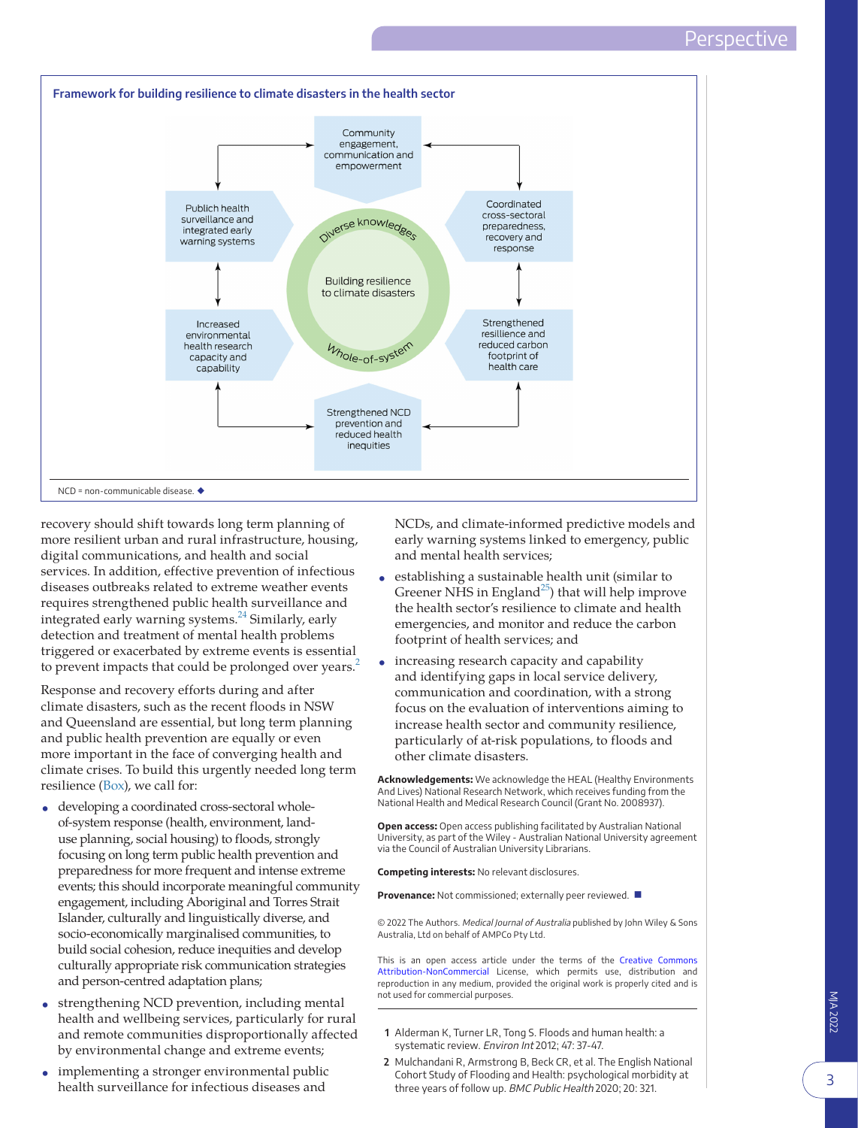<span id="page-2-2"></span>

recovery should shift towards long term planning of more resilient urban and rural infrastructure, housing, digital communications, and health and social services. In addition, effective prevention of infectious diseases outbreaks related to extreme weather events requires strengthened public health surveillance and integrated early warning systems.<sup>[24](#page-3-19)</sup> Similarly, early detection and treatment of mental health problems triggered or exacerbated by extreme events is essential to prevent impacts that could be prolonged over years.<sup>[2](#page-2-1)</sup>

Response and recovery efforts during and after climate disasters, such as the recent floods in NSW and Queensland are essential, but long term planning and public health prevention are equally or even more important in the face of converging health and climate crises. To build this urgently needed long term resilience ([Box](#page-2-2)), we call for:

- developing a coordinated cross-sectoral wholeof-system response (health, environment, landuse planning, social housing) to floods, strongly focusing on long term public health prevention and preparedness for more frequent and intense extreme events; this should incorporate meaningful community engagement, including Aboriginal and Torres Strait Islander, culturally and linguistically diverse, and socio-economically marginalised communities, to build social cohesion, reduce inequities and develop culturally appropriate risk communication strategies and person-centred adaptation plans;
- strengthening NCD prevention, including mental health and wellbeing services, particularly for rural and remote communities disproportionally affected by environmental change and extreme events;
- implementing a stronger environmental public health surveillance for infectious diseases and

NCDs, and climate-informed predictive models and early warning systems linked to emergency, public and mental health services;

- establishing a sustainable health unit (similar to Greener NHS in England<sup>25</sup>) that will help improve the health sector's resilience to climate and health emergencies, and monitor and reduce the carbon footprint of health services; and
- increasing research capacity and capability and identifying gaps in local service delivery, communication and coordination, with a strong focus on the evaluation of interventions aiming to increase health sector and community resilience, particularly of at-risk populations, to floods and other climate disasters.

**Acknowledgements:** We acknowledge the HEAL (Healthy Environments And Lives) National Research Network, which receives funding from the National Health and Medical Research Council (Grant No. 2008937).

**Open access:** Open access publishing facilitated by Australian National University, as part of the Wiley - Australian National University agreement via the Council of Australian University Librarians.

**Competing interests:** No relevant disclosures.

**Provenance:** Not commissioned; externally peer reviewed. ■

© 2022 The Authors. Medical Journal of Australia published by John Wiley & Sons Australia, Ltd on behalf of AMPCo Pty Ltd.

This is an open access article under the terms of the [Creative Commons](http://creativecommons.org/licenses/by-nc/4.0/) [Attribution-NonCommercial](http://creativecommons.org/licenses/by-nc/4.0/) License, which permits use, distribution and reproduction in any medium, provided the original work is properly cited and is not used for commercial purposes.

- <span id="page-2-0"></span>**1** Alderman K, Turner LR, Tong S. Floods and human health: a systematic review. Environ Int 2012; 47: 37-47.
- <span id="page-2-1"></span>**2** Mulchandani R, Armstrong B, Beck CR, et al. The English National Cohort Study of Flooding and Health: psychological morbidity at three years of follow up. BMC Public Health 2020; 20: 321.